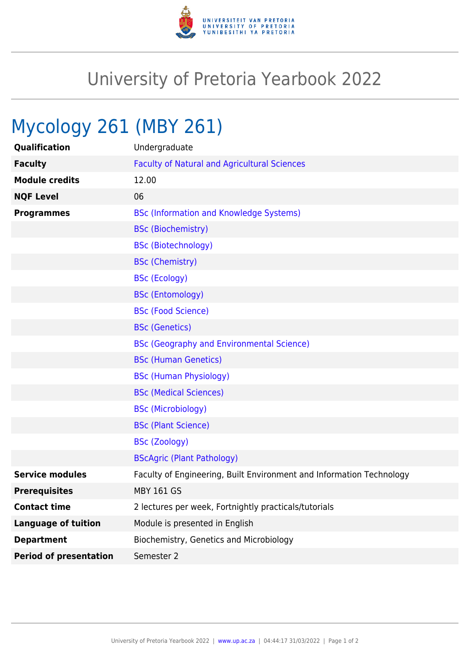

## University of Pretoria Yearbook 2022

## Mycology 261 (MBY 261)

| Qualification                 | Undergraduate                                                        |
|-------------------------------|----------------------------------------------------------------------|
| <b>Faculty</b>                | <b>Faculty of Natural and Agricultural Sciences</b>                  |
| <b>Module credits</b>         | 12.00                                                                |
| <b>NQF Level</b>              | 06                                                                   |
| <b>Programmes</b>             | <b>BSc (Information and Knowledge Systems)</b>                       |
|                               | <b>BSc (Biochemistry)</b>                                            |
|                               | <b>BSc (Biotechnology)</b>                                           |
|                               | <b>BSc (Chemistry)</b>                                               |
|                               | <b>BSc (Ecology)</b>                                                 |
|                               | <b>BSc (Entomology)</b>                                              |
|                               | <b>BSc (Food Science)</b>                                            |
|                               | <b>BSc (Genetics)</b>                                                |
|                               | <b>BSc (Geography and Environmental Science)</b>                     |
|                               | <b>BSc (Human Genetics)</b>                                          |
|                               | <b>BSc (Human Physiology)</b>                                        |
|                               | <b>BSc (Medical Sciences)</b>                                        |
|                               | <b>BSc (Microbiology)</b>                                            |
|                               | <b>BSc (Plant Science)</b>                                           |
|                               | <b>BSc (Zoology)</b>                                                 |
|                               | <b>BScAgric (Plant Pathology)</b>                                    |
| <b>Service modules</b>        | Faculty of Engineering, Built Environment and Information Technology |
| <b>Prerequisites</b>          | <b>MBY 161 GS</b>                                                    |
| <b>Contact time</b>           | 2 lectures per week, Fortnightly practicals/tutorials                |
| <b>Language of tuition</b>    | Module is presented in English                                       |
| <b>Department</b>             | Biochemistry, Genetics and Microbiology                              |
| <b>Period of presentation</b> | Semester 2                                                           |